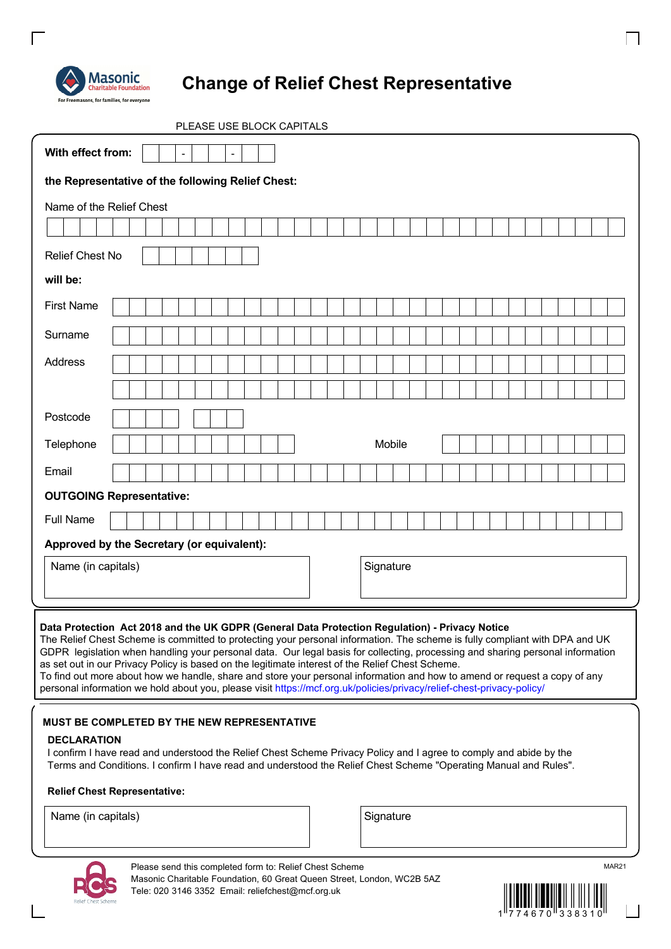

 $\Gamma$ 

# **Change of Relief Chest Representative**

| PLEASE USE BLOCK CAPITALS                                                                                                                                                                                                                                                                                                                                                                                                                                                                                                                                                                                                                                                                                                 |                    |
|---------------------------------------------------------------------------------------------------------------------------------------------------------------------------------------------------------------------------------------------------------------------------------------------------------------------------------------------------------------------------------------------------------------------------------------------------------------------------------------------------------------------------------------------------------------------------------------------------------------------------------------------------------------------------------------------------------------------------|--------------------|
| With effect from:<br>$\overline{a}$                                                                                                                                                                                                                                                                                                                                                                                                                                                                                                                                                                                                                                                                                       |                    |
| the Representative of the following Relief Chest:                                                                                                                                                                                                                                                                                                                                                                                                                                                                                                                                                                                                                                                                         |                    |
| Name of the Relief Chest                                                                                                                                                                                                                                                                                                                                                                                                                                                                                                                                                                                                                                                                                                  |                    |
|                                                                                                                                                                                                                                                                                                                                                                                                                                                                                                                                                                                                                                                                                                                           |                    |
| <b>Relief Chest No</b>                                                                                                                                                                                                                                                                                                                                                                                                                                                                                                                                                                                                                                                                                                    |                    |
| will be:                                                                                                                                                                                                                                                                                                                                                                                                                                                                                                                                                                                                                                                                                                                  |                    |
| <b>First Name</b>                                                                                                                                                                                                                                                                                                                                                                                                                                                                                                                                                                                                                                                                                                         |                    |
| Surname                                                                                                                                                                                                                                                                                                                                                                                                                                                                                                                                                                                                                                                                                                                   |                    |
| Address                                                                                                                                                                                                                                                                                                                                                                                                                                                                                                                                                                                                                                                                                                                   |                    |
|                                                                                                                                                                                                                                                                                                                                                                                                                                                                                                                                                                                                                                                                                                                           |                    |
| Postcode                                                                                                                                                                                                                                                                                                                                                                                                                                                                                                                                                                                                                                                                                                                  |                    |
| Telephone                                                                                                                                                                                                                                                                                                                                                                                                                                                                                                                                                                                                                                                                                                                 | Mobile             |
| Email                                                                                                                                                                                                                                                                                                                                                                                                                                                                                                                                                                                                                                                                                                                     |                    |
| <b>OUTGOING Representative:</b>                                                                                                                                                                                                                                                                                                                                                                                                                                                                                                                                                                                                                                                                                           |                    |
| <b>Full Name</b>                                                                                                                                                                                                                                                                                                                                                                                                                                                                                                                                                                                                                                                                                                          |                    |
| Approved by the Secretary (or equivalent):                                                                                                                                                                                                                                                                                                                                                                                                                                                                                                                                                                                                                                                                                |                    |
| Name (in capitals)                                                                                                                                                                                                                                                                                                                                                                                                                                                                                                                                                                                                                                                                                                        | Signature          |
|                                                                                                                                                                                                                                                                                                                                                                                                                                                                                                                                                                                                                                                                                                                           |                    |
| Data Protection Act 2018 and the UK GDPR (General Data Protection Regulation) - Privacy Notice<br>The Relief Chest Scheme is committed to protecting your personal information. The scheme is fully compliant with DPA and UK<br>GDPR legislation when handling your personal data. Our legal basis for collecting, processing and sharing personal information<br>as set out in our Privacy Policy is based on the legitimate interest of the Relief Chest Scheme.<br>To find out more about how we handle, share and store your personal information and how to amend or request a copy of any<br>personal information we hold about you, please visit https://mcf.org.uk/policies/privacy/relief-chest-privacy-policy/ |                    |
| MUST BE COMPLETED BY THE NEW REPRESENTATIVE<br><b>DECLARATION</b><br>I confirm I have read and understood the Relief Chest Scheme Privacy Policy and I agree to comply and abide by the<br>Terms and Conditions. I confirm I have read and understood the Relief Chest Scheme "Operating Manual and Rules".<br><b>Relief Chest Representative:</b>                                                                                                                                                                                                                                                                                                                                                                        |                    |
| Name (in capitals)<br>Please send this completed form to: Relief Chest Scheme                                                                                                                                                                                                                                                                                                                                                                                                                                                                                                                                                                                                                                             | Signature<br>MAR21 |



 $\Box$ 



 $\overline{\mathcal{L}}$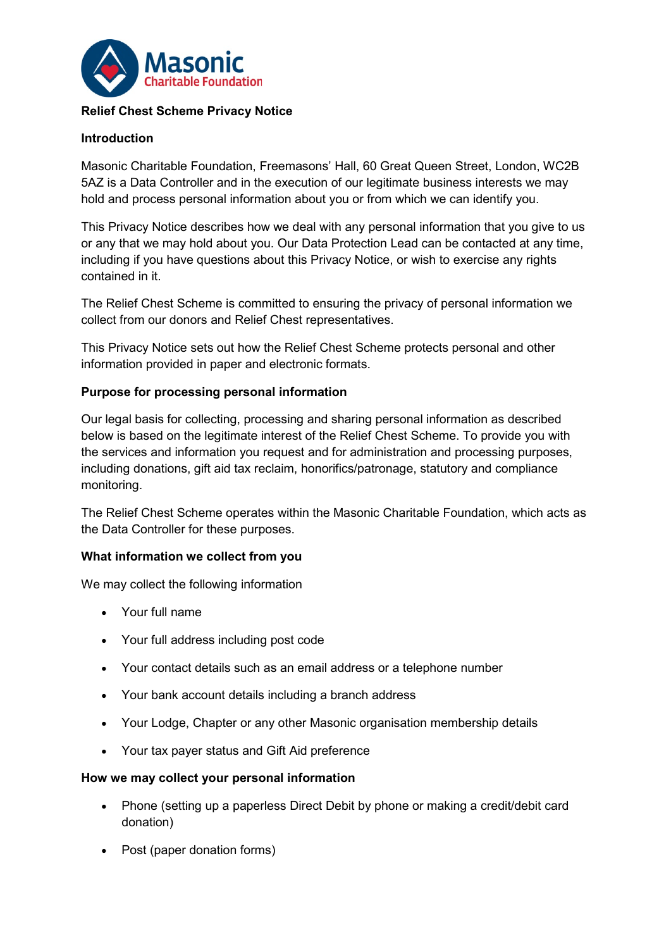

## **Relief Chest Scheme Privacy Notice**

## **Introduction**

Masonic Charitable Foundation, Freemasons' Hall, 60 Great Queen Street, London, WC2B 5AZ is a Data Controller and in the execution of our legitimate business interests we may hold and process personal information about you or from which we can identify you.

This Privacy Notice describes how we deal with any personal information that you give to us or any that we may hold about you. Our Data Protection Lead can be contacted at any time, including if you have questions about this Privacy Notice, or wish to exercise any rights contained in it.

The Relief Chest Scheme is committed to ensuring the privacy of personal information we collect from our donors and Relief Chest representatives.

This Privacy Notice sets out how the Relief Chest Scheme protects personal and other information provided in paper and electronic formats.

#### **Purpose for processing personal information**

Our legal basis for collecting, processing and sharing personal information as described below is based on the legitimate interest of the Relief Chest Scheme. To provide you with the services and information you request and for administration and processing purposes, including donations, gift aid tax reclaim, honorifics/patronage, statutory and compliance monitoring.

The Relief Chest Scheme operates within the Masonic Charitable Foundation, which acts as the Data Controller for these purposes.

#### **What information we collect from you**

We may collect the following information

- Your full name
- Your full address including post code
- Your contact details such as an email address or a telephone number
- Your bank account details including a branch address
- Your Lodge, Chapter or any other Masonic organisation membership details
- Your tax payer status and Gift Aid preference

#### **How we may collect your personal information**

- Phone (setting up a paperless Direct Debit by phone or making a credit/debit card donation)
- Post (paper donation forms)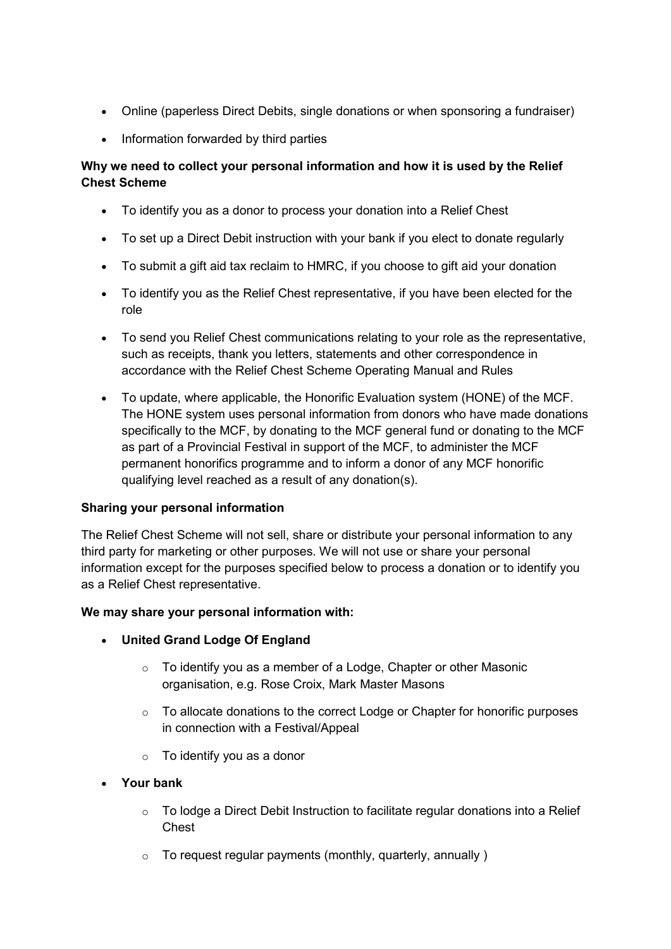- Online (paperless Direct Debits, single donations or when sponsoring a fundraiser)
- Information forwarded by third parties

# **Why we need to collect your personal information and how it is used by the Relief Chest Scheme**

- To identify you as a donor to process your donation into a Relief Chest
- To set up a Direct Debit instruction with your bank if you elect to donate regularly
- To submit a gift aid tax reclaim to HMRC, if you choose to gift aid your donation
- To identify you as the Relief Chest representative, if you have been elected for the role
- To send you Relief Chest communications relating to your role as the representative, such as receipts, thank you letters, statements and other correspondence in accordance with the Relief Chest Scheme Operating Manual and Rules
- To update, where applicable, the Honorific Evaluation system (HONE) of the MCF. The HONE system uses personal information from donors who have made donations specifically to the MCF, by donating to the MCF general fund or donating to the MCF as part of a Provincial Festival in support of the MCF, to administer the MCF permanent honorifics programme and to inform a donor of any MCF honorific qualifying level reached as a result of any donation(s).

# **Sharing your personal information**

The Relief Chest Scheme will not sell, share or distribute your personal information to any third party for marketing or other purposes. We will not use or share your personal information except for the purposes specified below to process a donation or to identify you as a Relief Chest representative.

#### **We may share your personal information with:**

- **United Grand Lodge Of England**
	- $\circ$  To identify you as a member of a Lodge, Chapter or other Masonic organisation, e.g. Rose Croix, Mark Master Masons
	- $\circ$  To allocate donations to the correct Lodge or Chapter for honorific purposes in connection with a Festival/Appeal
	- $\circ$  To identify you as a donor
- **Your bank**
	- $\circ$  To lodge a Direct Debit Instruction to facilitate regular donations into a Relief Chest
	- $\circ$  To request regular payments (monthly, quarterly, annually)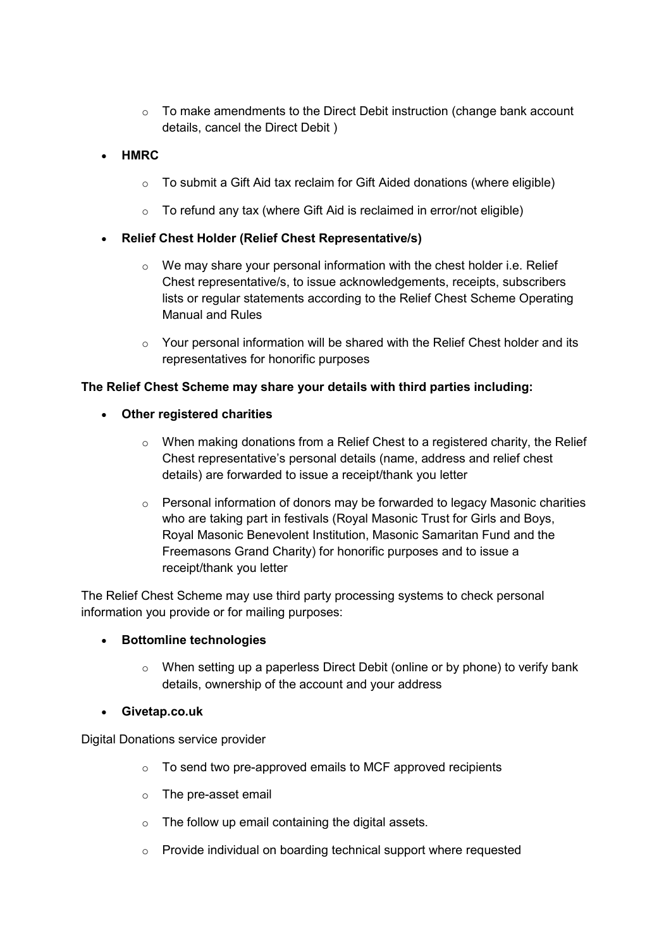- $\circ$  To make amendments to the Direct Debit instruction (change bank account details, cancel the Direct Debit )
- **HMRC**
	- $\circ$  To submit a Gift Aid tax reclaim for Gift Aided donations (where eligible)
	- o To refund any tax (where Gift Aid is reclaimed in error/not eligible)
- **Relief Chest Holder (Relief Chest Representative/s)**
	- $\circ$  We may share your personal information with the chest holder i.e. Relief Chest representative/s, to issue acknowledgements, receipts, subscribers lists or regular statements according to the Relief Chest Scheme Operating Manual and Rules
	- $\circ$  Your personal information will be shared with the Relief Chest holder and its representatives for honorific purposes

## **The Relief Chest Scheme may share your details with third parties including:**

- **Other registered charities**
	- $\circ$  When making donations from a Relief Chest to a registered charity, the Relief Chest representative's personal details (name, address and relief chest details) are forwarded to issue a receipt/thank you letter
	- o Personal information of donors may be forwarded to legacy Masonic charities who are taking part in festivals (Royal Masonic Trust for Girls and Boys, Royal Masonic Benevolent Institution, Masonic Samaritan Fund and the Freemasons Grand Charity) for honorific purposes and to issue a receipt/thank you letter

The Relief Chest Scheme may use third party processing systems to check personal information you provide or for mailing purposes:

#### • **Bottomline technologies**

o When setting up a paperless Direct Debit (online or by phone) to verify bank details, ownership of the account and your address

#### • **Givetap.co.uk**

Digital Donations service provider

- o To send two pre-approved emails to MCF approved recipients
- o The pre-asset email
- $\circ$  The follow up email containing the digital assets.
- o Provide individual on boarding technical support where requested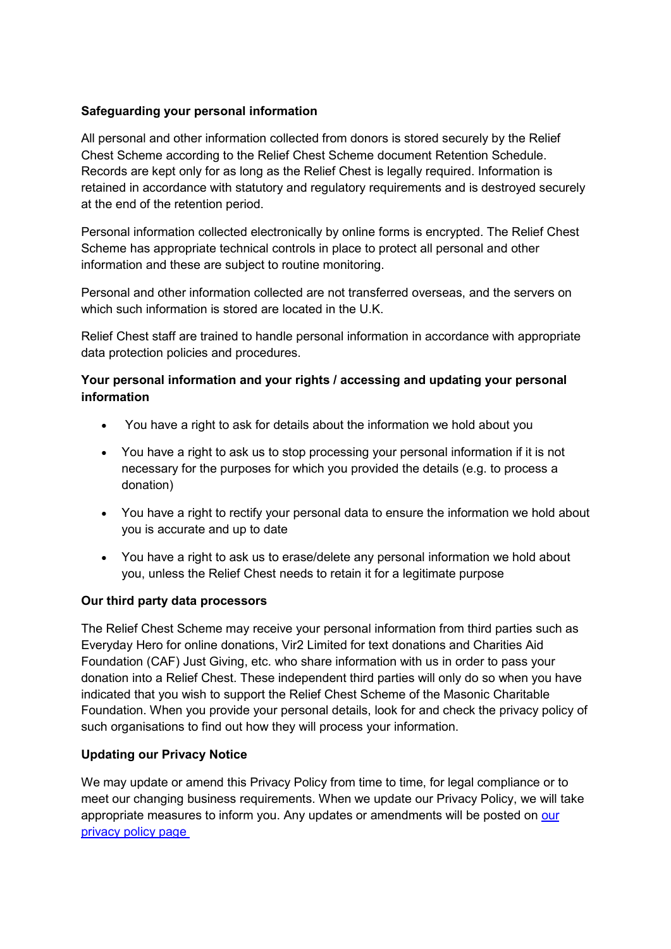# **Safeguarding your personal information**

All personal and other information collected from donors is stored securely by the Relief Chest Scheme according to the Relief Chest Scheme document Retention Schedule. Records are kept only for as long as the Relief Chest is legally required. Information is retained in accordance with statutory and regulatory requirements and is destroyed securely at the end of the retention period.

Personal information collected electronically by online forms is encrypted. The Relief Chest Scheme has appropriate technical controls in place to protect all personal and other information and these are subject to routine monitoring.

Personal and other information collected are not transferred overseas, and the servers on which such information is stored are located in the U.K.

Relief Chest staff are trained to handle personal information in accordance with appropriate data protection policies and procedures.

# **Your personal information and your rights / accessing and updating your personal information**

- You have a right to ask for details about the information we hold about you
- You have a right to ask us to stop processing your personal information if it is not necessary for the purposes for which you provided the details (e.g. to process a donation)
- You have a right to rectify your personal data to ensure the information we hold about you is accurate and up to date
- You have a right to ask us to erase/delete any personal information we hold about you, unless the Relief Chest needs to retain it for a legitimate purpose

# **Our third party data processors**

The Relief Chest Scheme may receive your personal information from third parties such as Everyday Hero for online donations, Vir2 Limited for text donations and Charities Aid Foundation (CAF) Just Giving, etc. who share information with us in order to pass your donation into a Relief Chest. These independent third parties will only do so when you have indicated that you wish to support the Relief Chest Scheme of the Masonic Charitable Foundation. When you provide your personal details, look for and check the privacy policy of such organisations to find out how they will process your information.

# **Updating our Privacy Notice**

We may update or amend this Privacy Policy from time to time, for legal compliance or to meet our changing business requirements. When we update our Privacy Policy, we will take appropriate measures to inform you. Any updates or amendments will be posted on [our](https://mcf.org.uk/privacy/)  [privacy policy page](https://mcf.org.uk/privacy/)